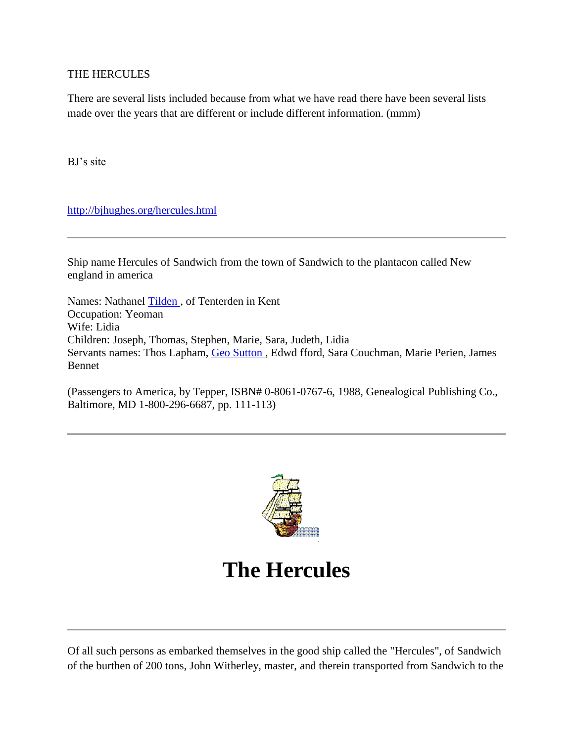## THE HERCULES

There are several lists included because from what we have read there have been several lists made over the years that are different or include different information. (mmm)

BJ's site

<http://bjhughes.org/hercules.html>

Ship name Hercules of Sandwich from the town of Sandwich to the plantacon called New england in america

Names: Nathanel [Tilden ,](http://bjhughes.org/tilden.html) of Tenterden in Kent Occupation: Yeoman Wife: Lidia Children: Joseph, Thomas, Stephen, Marie, Sara, Judeth, Lidia Servants names: Thos Lapham, [Geo Sutton ,](http://bjhughes.org/sutton.html) Edwd fford, Sara Couchman, Marie Perien, James Bennet

(Passengers to America, by Tepper, ISBN# 0-8061-0767-6, 1988, Genealogical Publishing Co., Baltimore, MD 1-800-296-6687, pp. 111-113)



## **The Hercules**

Of all such persons as embarked themselves in the good ship called the "Hercules", of Sandwich of the burthen of 200 tons, John Witherley, master, and therein transported from Sandwich to the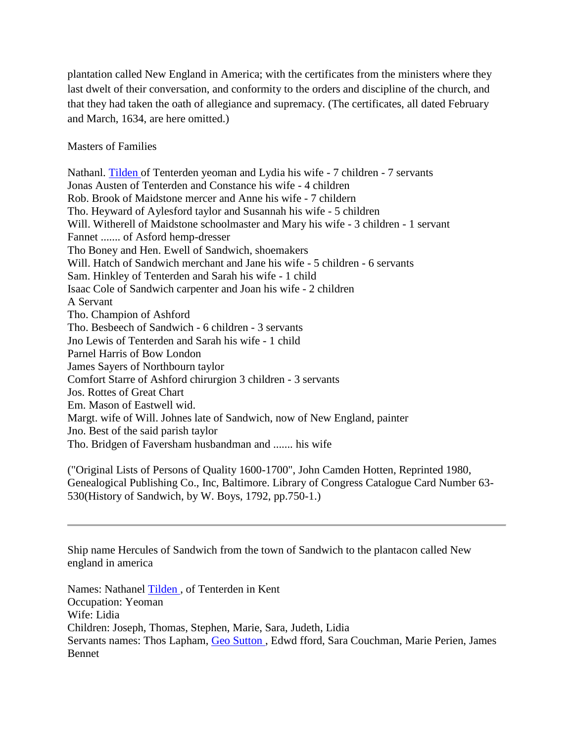plantation called New England in America; with the certificates from the ministers where they last dwelt of their conversation, and conformity to the orders and discipline of the church, and that they had taken the oath of allegiance and supremacy. (The certificates, all dated February and March, 1634, are here omitted.)

## Masters of Families

Nathanl. [Tilden o](http://bjhughes.org/tilden.html)f Tenterden yeoman and Lydia his wife - 7 children - 7 servants Jonas Austen of Tenterden and Constance his wife - 4 children Rob. Brook of Maidstone mercer and Anne his wife - 7 childern Tho. Heyward of Aylesford taylor and Susannah his wife - 5 children Will. Witherell of Maidstone schoolmaster and Mary his wife - 3 children - 1 servant Fannet ....... of Asford hemp-dresser Tho Boney and Hen. Ewell of Sandwich, shoemakers Will. Hatch of Sandwich merchant and Jane his wife - 5 children - 6 servants Sam. Hinkley of Tenterden and Sarah his wife - 1 child Isaac Cole of Sandwich carpenter and Joan his wife - 2 children A Servant Tho. Champion of Ashford Tho. Besbeech of Sandwich - 6 children - 3 servants Jno Lewis of Tenterden and Sarah his wife - 1 child Parnel Harris of Bow London James Sayers of Northbourn taylor Comfort Starre of Ashford chirurgion 3 children - 3 servants Jos. Rottes of Great Chart Em. Mason of Eastwell wid. Margt. wife of Will. Johnes late of Sandwich, now of New England, painter Jno. Best of the said parish taylor Tho. Bridgen of Faversham husbandman and ....... his wife

("Original Lists of Persons of Quality 1600-1700", John Camden Hotten, Reprinted 1980, Genealogical Publishing Co., Inc, Baltimore. Library of Congress Catalogue Card Number 63- 530(History of Sandwich, by W. Boys, 1792, pp.750-1.)

Ship name Hercules of Sandwich from the town of Sandwich to the plantacon called New england in america

Names: Nathanel [Tilden ,](http://bjhughes.org/tilden.html) of Tenterden in Kent Occupation: Yeoman Wife: Lidia Children: Joseph, Thomas, Stephen, Marie, Sara, Judeth, Lidia Servants names: Thos Lapham, [Geo Sutton ,](http://bjhughes.org/sutton.html) Edwd fford, Sara Couchman, Marie Perien, James Bennet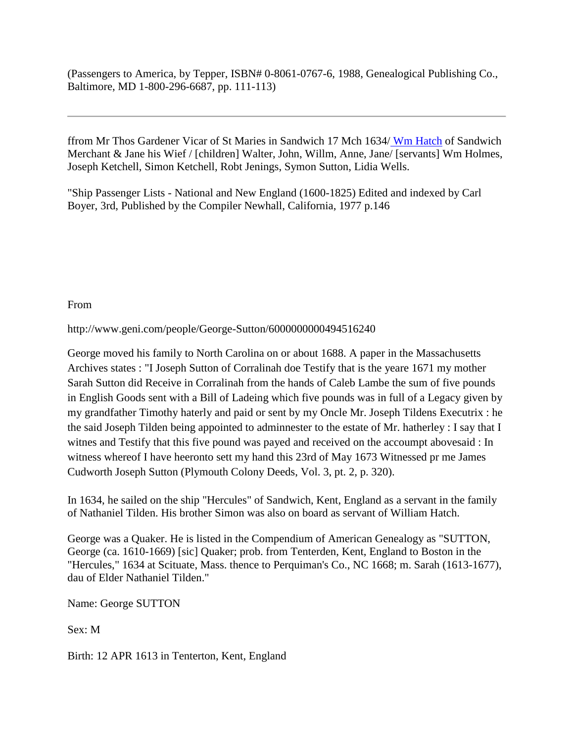(Passengers to America, by Tepper, ISBN# 0-8061-0767-6, 1988, Genealogical Publishing Co., Baltimore, MD 1-800-296-6687, pp. 111-113)

ffrom Mr Thos Gardener Vicar of St Maries in Sandwich 17 Mch 1634/ [Wm Hatch](http://bjhughes.org/hatch.html) of Sandwich Merchant & Jane his Wief / [children] Walter, John, Willm, Anne, Jane/ [servants] Wm Holmes, Joseph Ketchell, Simon Ketchell, Robt Jenings, Symon Sutton, Lidia Wells.

"Ship Passenger Lists - National and New England (1600-1825) Edited and indexed by Carl Boyer, 3rd, Published by the Compiler Newhall, California, 1977 p.146

From

http://www.geni.com/people/George-Sutton/6000000000494516240

George moved his family to North Carolina on or about 1688. A paper in the Massachusetts Archives states : "I Joseph Sutton of Corralinah doe Testify that is the yeare 1671 my mother Sarah Sutton did Receive in Corralinah from the hands of Caleb Lambe the sum of five pounds in English Goods sent with a Bill of Ladeing which five pounds was in full of a Legacy given by my grandfather Timothy haterly and paid or sent by my Oncle Mr. Joseph Tildens Executrix : he the said Joseph Tilden being appointed to adminnester to the estate of Mr. hatherley : I say that I witnes and Testify that this five pound was payed and received on the accoumpt abovesaid : In witness whereof I have heeronto sett my hand this 23rd of May 1673 Witnessed pr me James Cudworth Joseph Sutton (Plymouth Colony Deeds, Vol. 3, pt. 2, p. 320).

In 1634, he sailed on the ship "Hercules" of Sandwich, Kent, England as a servant in the family of Nathaniel Tilden. His brother Simon was also on board as servant of William Hatch.

George was a Quaker. He is listed in the Compendium of American Genealogy as "SUTTON, George (ca. 1610-1669) [sic] Quaker; prob. from Tenterden, Kent, England to Boston in the "Hercules," 1634 at Scituate, Mass. thence to Perquiman's Co., NC 1668; m. Sarah (1613-1677), dau of Elder Nathaniel Tilden."

Name: George SUTTON

Sex: M

Birth: 12 APR 1613 in Tenterton, Kent, England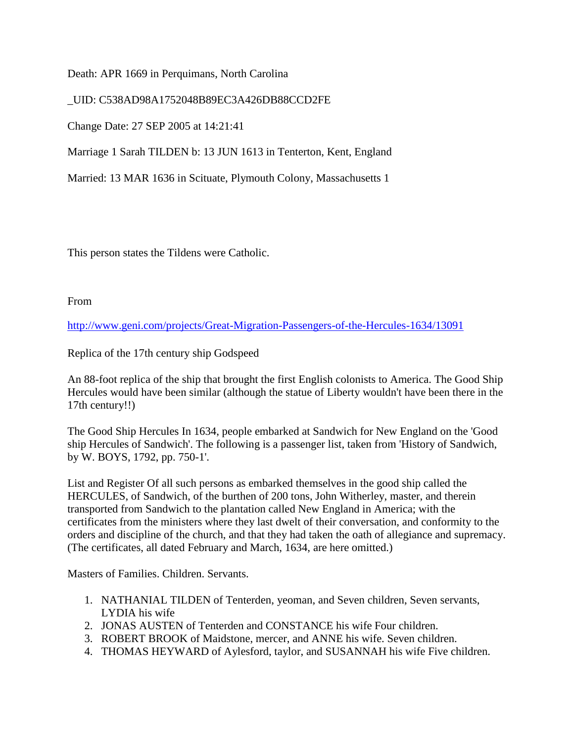Death: APR 1669 in Perquimans, North Carolina

\_UID: C538AD98A1752048B89EC3A426DB88CCD2FE

Change Date: 27 SEP 2005 at 14:21:41

Marriage 1 Sarah TILDEN b: 13 JUN 1613 in Tenterton, Kent, England

Married: 13 MAR 1636 in Scituate, Plymouth Colony, Massachusetts 1

This person states the Tildens were Catholic.

From

<http://www.geni.com/projects/Great-Migration-Passengers-of-the-Hercules-1634/13091>

Replica of the 17th century ship Godspeed

An 88-foot replica of the ship that brought the first English colonists to America. The Good Ship Hercules would have been similar (although the statue of Liberty wouldn't have been there in the 17th century!!)

The Good Ship Hercules In 1634, people embarked at Sandwich for New England on the 'Good ship Hercules of Sandwich'. The following is a passenger list, taken from 'History of Sandwich, by W. BOYS, 1792, pp. 750-1'.

List and Register Of all such persons as embarked themselves in the good ship called the HERCULES, of Sandwich, of the burthen of 200 tons, John Witherley, master, and therein transported from Sandwich to the plantation called New England in America; with the certificates from the ministers where they last dwelt of their conversation, and conformity to the orders and discipline of the church, and that they had taken the oath of allegiance and supremacy. (The certificates, all dated February and March, 1634, are here omitted.)

Masters of Families. Children. Servants.

- 1. NATHANIAL TILDEN of Tenterden, yeoman, and Seven children, Seven servants, LYDIA his wife
- 2. JONAS AUSTEN of Tenterden and CONSTANCE his wife Four children.
- 3. ROBERT BROOK of Maidstone, mercer, and ANNE his wife. Seven children.
- 4. THOMAS HEYWARD of Aylesford, taylor, and SUSANNAH his wife Five children.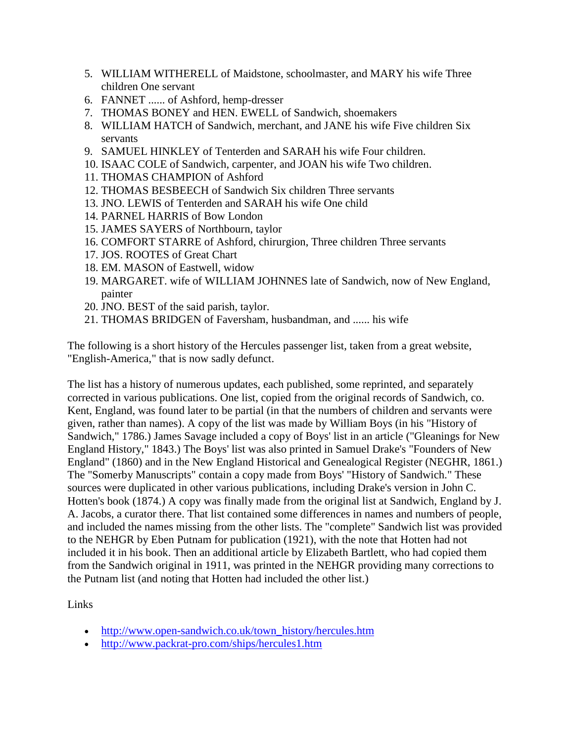- 5. WILLIAM WITHERELL of Maidstone, schoolmaster, and MARY his wife Three children One servant
- 6. FANNET ...... of Ashford, hemp-dresser
- 7. THOMAS BONEY and HEN. EWELL of Sandwich, shoemakers
- 8. WILLIAM HATCH of Sandwich, merchant, and JANE his wife Five children Six servants
- 9. SAMUEL HINKLEY of Tenterden and SARAH his wife Four children.
- 10. ISAAC COLE of Sandwich, carpenter, and JOAN his wife Two children.
- 11. THOMAS CHAMPION of Ashford
- 12. THOMAS BESBEECH of Sandwich Six children Three servants
- 13. JNO. LEWIS of Tenterden and SARAH his wife One child
- 14. PARNEL HARRIS of Bow London
- 15. JAMES SAYERS of Northbourn, taylor
- 16. COMFORT STARRE of Ashford, chirurgion, Three children Three servants
- 17. JOS. ROOTES of Great Chart
- 18. EM. MASON of Eastwell, widow
- 19. MARGARET. wife of WILLIAM JOHNNES late of Sandwich, now of New England, painter
- 20. JNO. BEST of the said parish, taylor.
- 21. THOMAS BRIDGEN of Faversham, husbandman, and ...... his wife

The following is a short history of the Hercules passenger list, taken from a great website, "English-America," that is now sadly defunct.

The list has a history of numerous updates, each published, some reprinted, and separately corrected in various publications. One list, copied from the original records of Sandwich, co. Kent, England, was found later to be partial (in that the numbers of children and servants were given, rather than names). A copy of the list was made by William Boys (in his "History of Sandwich," 1786.) James Savage included a copy of Boys' list in an article ("Gleanings for New England History," 1843.) The Boys' list was also printed in Samuel Drake's "Founders of New England" (1860) and in the New England Historical and Genealogical Register (NEGHR, 1861.) The "Somerby Manuscripts" contain a copy made from Boys' "History of Sandwich." These sources were duplicated in other various publications, including Drake's version in John C. Hotten's book (1874.) A copy was finally made from the original list at Sandwich, England by J. A. Jacobs, a curator there. That list contained some differences in names and numbers of people, and included the names missing from the other lists. The "complete" Sandwich list was provided to the NEHGR by Eben Putnam for publication (1921), with the note that Hotten had not included it in his book. Then an additional article by Elizabeth Bartlett, who had copied them from the Sandwich original in 1911, was printed in the NEHGR providing many corrections to the Putnam list (and noting that Hotten had included the other list.)

Links

- [http://www.open-sandwich.co.uk/town\\_history/hercules.htm](http://www.open-sandwich.co.uk/town_history/hercules.htm)
- <http://www.packrat-pro.com/ships/hercules1.htm>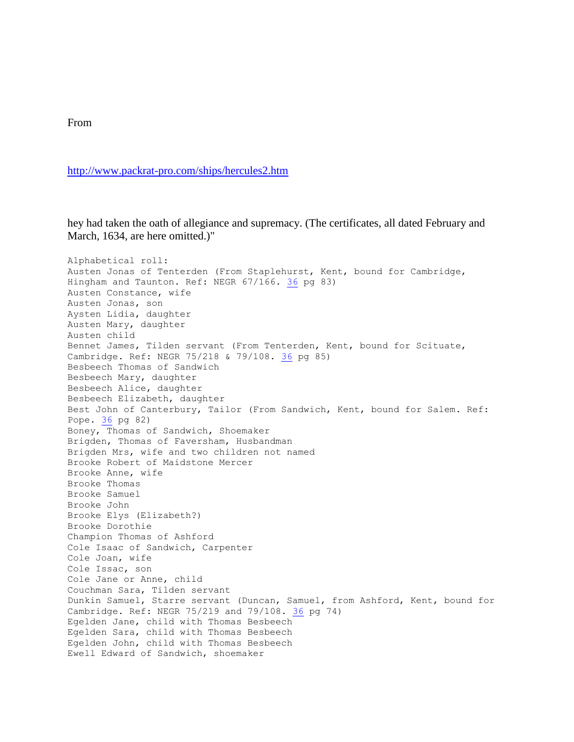From

<http://www.packrat-pro.com/ships/hercules2.htm>

hey had taken the oath of allegiance and supremacy. (The certificates, all dated February and March, 1634, are here omitted.)"

Alphabetical roll: Austen Jonas of Tenterden (From Staplehurst, Kent, bound for Cambridge, Hingham and Taunton. Ref: NEGR 67/166. [36](http://www.packrat-pro.com/ships/sources.htm#36) pg 83) Austen Constance, wife Austen Jonas, son Aysten Lidia, daughter Austen Mary, daughter Austen child Bennet James, Tilden servant (From Tenterden, Kent, bound for Scituate, Cambridge. Ref: NEGR 75/218 & 79/108. [36](http://www.packrat-pro.com/ships/sources.htm#36) pg 85) Besbeech Thomas of Sandwich Besbeech Mary, daughter Besbeech Alice, daughter Besbeech Elizabeth, daughter Best John of Canterbury, Tailor (From Sandwich, Kent, bound for Salem. Ref: Pope. [36](http://www.packrat-pro.com/ships/sources.htm#36) pg 82) Boney, Thomas of Sandwich, Shoemaker Brigden, Thomas of Faversham, Husbandman Brigden Mrs, wife and two children not named Brooke Robert of Maidstone Mercer Brooke Anne, wife Brooke Thomas Brooke Samuel Brooke John Brooke Elys (Elizabeth?) Brooke Dorothie Champion Thomas of Ashford Cole Isaac of Sandwich, Carpenter Cole Joan, wife Cole Issac, son Cole Jane or Anne, child Couchman Sara, Tilden servant Dunkin Samuel, Starre servant (Duncan, Samuel, from Ashford, Kent, bound for Cambridge. Ref: NEGR 75/219 and 79/108. [36](http://www.packrat-pro.com/ships/sources.htm#36) pg 74) Egelden Jane, child with Thomas Besbeech Egelden Sara, child with Thomas Besbeech Egelden John, child with Thomas Besbeech Ewell Edward of Sandwich, shoemaker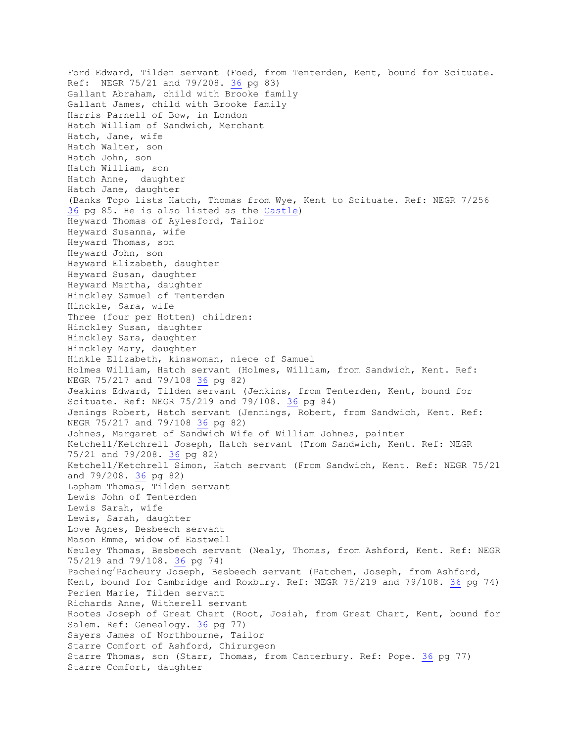Ford Edward, Tilden servant (Foed, from Tenterden, Kent, bound for Scituate. Ref: NEGR 75/21 and 79/208. [36](http://www.packrat-pro.com/ships/sources.htm#36) pg 83) Gallant Abraham, child with Brooke family Gallant James, child with Brooke family Harris Parnell of Bow, in London Hatch William of Sandwich, Merchant Hatch, Jane, wife Hatch Walter, son Hatch John, son Hatch William, son Hatch Anne, daughter Hatch Jane, daughter (Banks Topo lists Hatch, Thomas from Wye, Kent to Scituate. Ref: NEGR 7/256 [36](http://www.packrat-pro.com/ships/sources.htm#36) pg 85. He is also listed as the [Castle\)](http://www.packrat-pro.com/ships/castle.htm) Heyward Thomas of Aylesford, Tailor Heyward Susanna, wife Heyward Thomas, son Heyward John, son Heyward Elizabeth, daughter Heyward Susan, daughter Heyward Martha, daughter Hinckley Samuel of Tenterden Hinckle, Sara, wife Three (four per Hotten) children: Hinckley Susan, daughter Hinckley Sara, daughter Hinckley Mary, daughter Hinkle Elizabeth, kinswoman, niece of Samuel Holmes William, Hatch servant (Holmes, William, from Sandwich, Kent. Ref: NEGR 75/217 and 79/108 [36](http://www.packrat-pro.com/ships/sources.htm#36) pg 82) Jeakins Edward, Tilden servant (Jenkins, from Tenterden, Kent, bound for Scituate. Ref: NEGR 75/219 and 79/108. [36](http://www.packrat-pro.com/ships/sources.htm#36) pg 84) Jenings Robert, Hatch servant (Jennings, Robert, from Sandwich, Kent. Ref: NEGR 75/217 and 79/108 [36](http://www.packrat-pro.com/ships/sources.htm#36) pg 82) Johnes, Margaret of Sandwich Wife of William Johnes, painter Ketchell/Ketchrell Joseph, Hatch servant (From Sandwich, Kent. Ref: NEGR 75/21 and 79/208. [36](http://www.packrat-pro.com/ships/sources.htm#36) pg 82) Ketchell/Ketchrell Simon, Hatch servant (From Sandwich, Kent. Ref: NEGR 75/21 and 79/208. [36](http://www.packrat-pro.com/ships/sources.htm#36) pg 82) Lapham Thomas, Tilden servant Lewis John of Tenterden Lewis Sarah, wife Lewis, Sarah, daughter Love Agnes, Besbeech servant Mason Emme, widow of Eastwell Neuley Thomas, Besbeech servant (Nealy, Thomas, from Ashford, Kent. Ref: NEGR 75/219 and 79/108. [36](http://www.packrat-pro.com/ships/sources.htm#36) pg 74) Pacheing/Pacheury Joseph, Besbeech servant (Patchen, Joseph, from Ashford, Kent, bound for Cambridge and Roxbury. Ref: NEGR 75/219 and 79/108. [36](http://www.packrat-pro.com/ships/sources.htm#36) pg 74) Perien Marie, Tilden servant Richards Anne, Witherell servant Rootes Joseph of Great Chart (Root, Josiah, from Great Chart, Kent, bound for Salem. Ref: Genealogy. [36](http://www.packrat-pro.com/ships/sources.htm#36) pg 77) Sayers James of Northbourne, Tailor Starre Comfort of Ashford, Chirurgeon Starre Thomas, son (Starr, Thomas, from Canterbury. Ref: Pope. [36](http://www.packrat-pro.com/ships/sources.htm#36) pg 77) Starre Comfort, daughter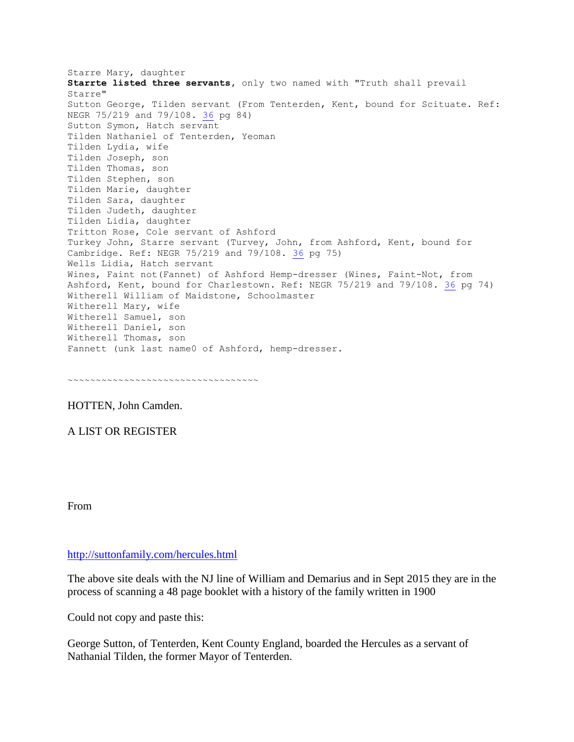Starre Mary, daughter **Starrte listed three servants,** only two named with "Truth shall prevail Starre" Sutton George, Tilden servant (From Tenterden, Kent, bound for Scituate. Ref: NEGR 75/219 and 79/108. [36](http://www.packrat-pro.com/ships/sources.htm#36) pg 84) Sutton Symon, Hatch servant Tilden Nathaniel of Tenterden, Yeoman Tilden Lydia, wife Tilden Joseph, son Tilden Thomas, son Tilden Stephen, son Tilden Marie, daughter Tilden Sara, daughter Tilden Judeth, daughter Tilden Lidia, daughter Tritton Rose, Cole servant of Ashford Turkey John, Starre servant (Turvey, John, from Ashford, Kent, bound for Cambridge. Ref: NEGR 75/219 and 79/108. [36](http://www.packrat-pro.com/ships/sources.htm#36) pg 75) Wells Lidia, Hatch servant Wines, Faint not(Fannet) of Ashford Hemp-dresser (Wines, Faint-Not, from Ashford, Kent, bound for Charlestown. Ref: NEGR 75/219 and 79/108. [36](http://www.packrat-pro.com/ships/sources.htm#36) pg 74) Witherell William of Maidstone, Schoolmaster Witherell Mary, wife Witherell Samuel, son Witherell Daniel, son Witherell Thomas, son Fannett (unk last name0 of Ashford, hemp-dresser.

~~~~~~~~~~~~~~~~~~~~~~~~~~~~~~~~~~~~

HOTTEN, John Camden.

A LIST OR REGISTER

From

<http://suttonfamily.com/hercules.html>

The above site deals with the NJ line of William and Demarius and in Sept 2015 they are in the process of scanning a 48 page booklet with a history of the family written in 1900

Could not copy and paste this:

George Sutton, of Tenterden, Kent County England, boarded the Hercules as a servant of Nathanial Tilden, the former Mayor of Tenterden.